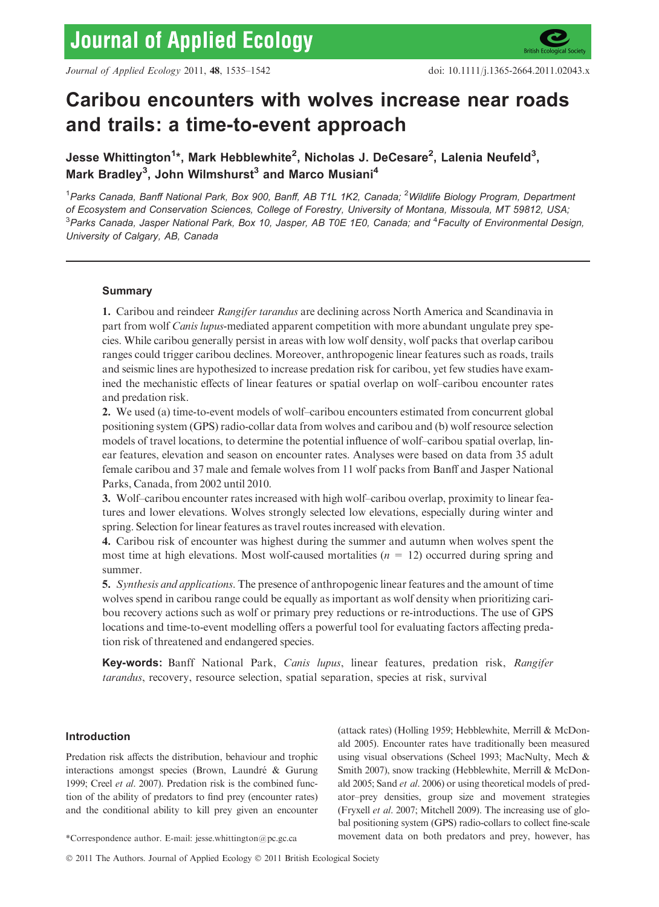# Caribou encounters with wolves increase near roads and trails: a time-to-event approach

Jesse Whittington<sup>1</sup>\*, Mark Hebblewhite<sup>2</sup>, Nicholas J. DeCesare<sup>2</sup>, Lalenia Neufeld<sup>3</sup>, Mark Bradley<sup>3</sup>, John Wilmshurst<sup>3</sup> and Marco Musiani<sup>4</sup>

<sup>1</sup>Parks Canada, Banff National Park, Box 900, Banff, AB T1L 1K2, Canada; <sup>2</sup>Wildlife Biology Program, Department of Ecosystem and Conservation Sciences, College of Forestry, University of Montana, Missoula, MT 59812, USA;  $^3$ Parks Canada, Jasper National Park, Box 10, Jasper, AB T0E 1E0, Canada; and  $^4$ Faculty of Environmental Design, University of Calgary, AB, Canada

# Summary

1. Caribou and reindeer Rangifer tarandus are declining across North America and Scandinavia in part from wolf *Canis lupus*-mediated apparent competition with more abundant ungulate prey species. While caribou generally persist in areas with low wolf density, wolf packs that overlap caribou ranges could trigger caribou declines. Moreover, anthropogenic linear features such as roads, trails and seismic lines are hypothesized to increase predation risk for caribou, yet few studies have examined the mechanistic effects of linear features or spatial overlap on wolf–caribou encounter rates and predation risk.

2. We used (a) time-to-event models of wolf–caribou encounters estimated from concurrent global positioning system (GPS) radio-collar data from wolves and caribou and (b) wolf resource selection models of travel locations, to determine the potential influence of wolf–caribou spatial overlap, linear features, elevation and season on encounter rates. Analyses were based on data from 35 adult female caribou and 37 male and female wolves from 11 wolf packs from Banff and Jasper National Parks, Canada, from 2002 until 2010.

3. Wolf–caribou encounter rates increased with high wolf–caribou overlap, proximity to linear features and lower elevations. Wolves strongly selected low elevations, especially during winter and spring. Selection for linear features as travel routes increased with elevation.

4. Caribou risk of encounter was highest during the summer and autumn when wolves spent the most time at high elevations. Most wolf-caused mortalities ( $n = 12$ ) occurred during spring and summer.

5. Synthesis and applications. The presence of anthropogenic linear features and the amount of time wolves spend in caribou range could be equally as important as wolf density when prioritizing caribou recovery actions such as wolf or primary prey reductions or re-introductions. The use of GPS locations and time-to-event modelling offers a powerful tool for evaluating factors affecting predation risk of threatened and endangered species.

Key-words: Banff National Park, Canis lupus, linear features, predation risk, Rangifer tarandus, recovery, resource selection, spatial separation, species at risk, survival

# Introduction

Predation risk affects the distribution, behaviour and trophic interactions amongst species (Brown, Laundré & Gurung 1999; Creel et al. 2007). Predation risk is the combined function of the ability of predators to find prey (encounter rates) and the conditional ability to kill prey given an encounter

(attack rates) (Holling 1959; Hebblewhite, Merrill & McDonald 2005). Encounter rates have traditionally been measured using visual observations (Scheel 1993; MacNulty, Mech & Smith 2007), snow tracking (Hebblewhite, Merrill & McDonald 2005; Sand et al. 2006) or using theoretical models of predator–prey densities, group size and movement strategies (Fryxell et al. 2007; Mitchell 2009). The increasing use of global positioning system (GPS) radio-collars to collect fine-scale \*Correspondence author. E-mail: jesse.whittington@pc.gc.ca movement data on both predators and prey, however, has

<sup>© 2011</sup> The Authors. Journal of Applied Ecology © 2011 British Ecological Society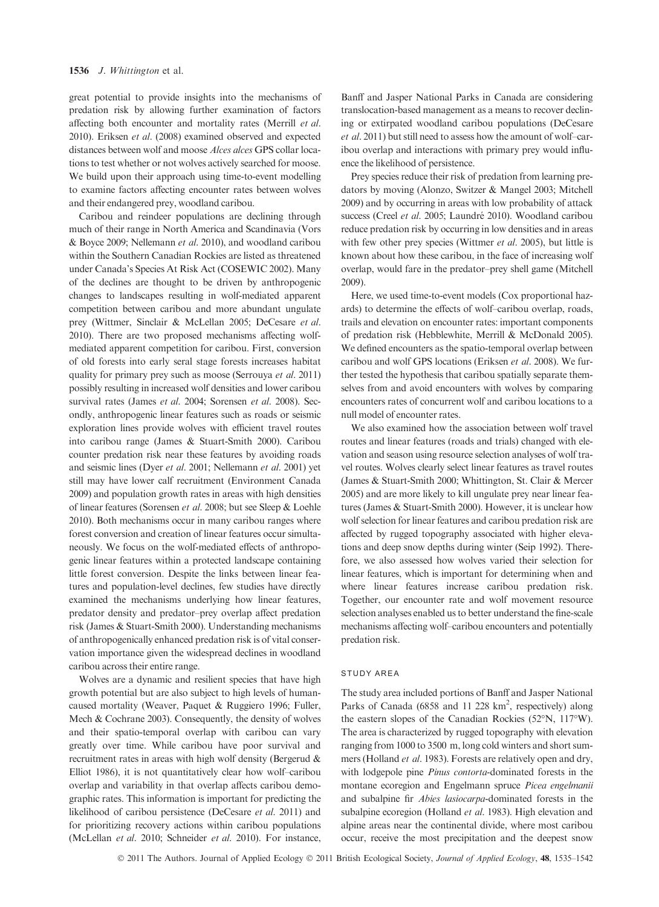great potential to provide insights into the mechanisms of predation risk by allowing further examination of factors affecting both encounter and mortality rates (Merrill et al. 2010). Eriksen et al. (2008) examined observed and expected distances between wolf and moose Alces alces GPS collar locations to test whether or not wolves actively searched for moose. We build upon their approach using time-to-event modelling to examine factors affecting encounter rates between wolves and their endangered prey, woodland caribou.

Caribou and reindeer populations are declining through much of their range in North America and Scandinavia (Vors & Boyce 2009; Nellemann et al. 2010), and woodland caribou within the Southern Canadian Rockies are listed as threatened under Canada's Species At Risk Act (COSEWIC 2002). Many of the declines are thought to be driven by anthropogenic changes to landscapes resulting in wolf-mediated apparent competition between caribou and more abundant ungulate prey (Wittmer, Sinclair & McLellan 2005; DeCesare et al. 2010). There are two proposed mechanisms affecting wolfmediated apparent competition for caribou. First, conversion of old forests into early seral stage forests increases habitat quality for primary prey such as moose (Serrouya et al. 2011) possibly resulting in increased wolf densities and lower caribou survival rates (James et al. 2004; Sorensen et al. 2008). Secondly, anthropogenic linear features such as roads or seismic exploration lines provide wolves with efficient travel routes into caribou range (James & Stuart-Smith 2000). Caribou counter predation risk near these features by avoiding roads and seismic lines (Dyer et al. 2001; Nellemann et al. 2001) yet still may have lower calf recruitment (Environment Canada 2009) and population growth rates in areas with high densities of linear features (Sorensen et al. 2008; but see Sleep & Loehle 2010). Both mechanisms occur in many caribou ranges where forest conversion and creation of linear features occur simultaneously. We focus on the wolf-mediated effects of anthropogenic linear features within a protected landscape containing little forest conversion. Despite the links between linear features and population-level declines, few studies have directly examined the mechanisms underlying how linear features, predator density and predator–prey overlap affect predation risk (James & Stuart-Smith 2000). Understanding mechanisms of anthropogenically enhanced predation risk is of vital conservation importance given the widespread declines in woodland caribou across their entire range.

Wolves are a dynamic and resilient species that have high growth potential but are also subject to high levels of humancaused mortality (Weaver, Paquet & Ruggiero 1996; Fuller, Mech & Cochrane 2003). Consequently, the density of wolves and their spatio-temporal overlap with caribou can vary greatly over time. While caribou have poor survival and recruitment rates in areas with high wolf density (Bergerud & Elliot 1986), it is not quantitatively clear how wolf–caribou overlap and variability in that overlap affects caribou demographic rates. This information is important for predicting the likelihood of caribou persistence (DeCesare et al. 2011) and for prioritizing recovery actions within caribou populations (McLellan et al. 2010; Schneider et al. 2010). For instance, Banff and Jasper National Parks in Canada are considering translocation-based management as a means to recover declining or extirpated woodland caribou populations (DeCesare et al. 2011) but still need to assess how the amount of wolf–caribou overlap and interactions with primary prey would influence the likelihood of persistence.

Prey species reduce their risk of predation from learning predators by moving (Alonzo, Switzer & Mangel 2003; Mitchell 2009) and by occurring in areas with low probability of attack success (Creel et al. 2005; Laundré 2010). Woodland caribou reduce predation risk by occurring in low densities and in areas with few other prey species (Wittmer et al. 2005), but little is known about how these caribou, in the face of increasing wolf overlap, would fare in the predator–prey shell game (Mitchell 2009).

Here, we used time-to-event models (Cox proportional hazards) to determine the effects of wolf–caribou overlap, roads, trails and elevation on encounter rates: important components of predation risk (Hebblewhite, Merrill & McDonald 2005). We defined encounters as the spatio-temporal overlap between caribou and wolf GPS locations (Eriksen et al. 2008). We further tested the hypothesis that caribou spatially separate themselves from and avoid encounters with wolves by comparing encounters rates of concurrent wolf and caribou locations to a null model of encounter rates.

We also examined how the association between wolf travel routes and linear features (roads and trials) changed with elevation and season using resource selection analyses of wolf travel routes. Wolves clearly select linear features as travel routes (James & Stuart-Smith 2000; Whittington, St. Clair & Mercer 2005) and are more likely to kill ungulate prey near linear features (James & Stuart-Smith 2000). However, it is unclear how wolf selection for linear features and caribou predation risk are affected by rugged topography associated with higher elevations and deep snow depths during winter (Seip 1992). Therefore, we also assessed how wolves varied their selection for linear features, which is important for determining when and where linear features increase caribou predation risk. Together, our encounter rate and wolf movement resource selection analyses enabled us to better understand the fine-scale mechanisms affecting wolf–caribou encounters and potentially predation risk.

#### STUDY AREA

The study area included portions of Banff and Jasper National Parks of Canada (6858 and 11 228 km<sup>2</sup>, respectively) along the eastern slopes of the Canadian Rockies ( $52^{\circ}$ N,  $117^{\circ}$ W). The area is characterized by rugged topography with elevation ranging from 1000 to 3500 m, long cold winters and short summers (Holland et al. 1983). Forests are relatively open and dry, with lodgepole pine Pinus contorta-dominated forests in the montane ecoregion and Engelmann spruce Picea engelmanii and subalpine fir Abies lasiocarpa-dominated forests in the subalpine ecoregion (Holland et al. 1983). High elevation and alpine areas near the continental divide, where most caribou occur, receive the most precipitation and the deepest snow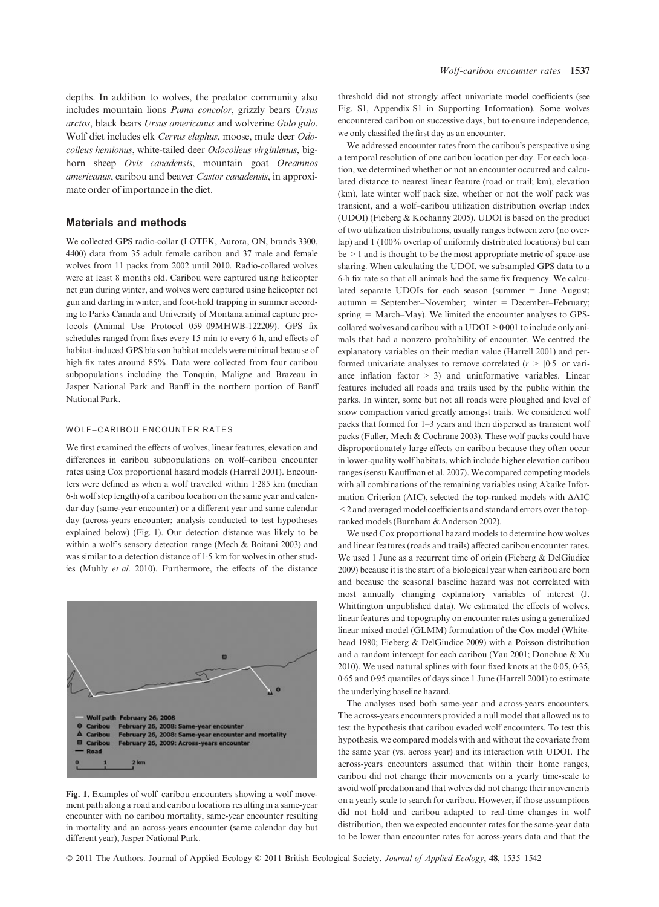depths. In addition to wolves, the predator community also includes mountain lions Puma concolor, grizzly bears Ursus arctos, black bears Ursus americanus and wolverine Gulo gulo. Wolf diet includes elk Cervus elaphus, moose, mule deer Odocoileus hemionus, white-tailed deer Odocoileus virginianus, bighorn sheep Ovis canadensis, mountain goat Oreamnos americanus, caribou and beaver Castor canadensis, in approximate order of importance in the diet.

## Materials and methods

We collected GPS radio-collar (LOTEK, Aurora, ON, brands 3300, 4400) data from 35 adult female caribou and 37 male and female wolves from 11 packs from 2002 until 2010. Radio-collared wolves were at least 8 months old. Caribou were captured using helicopter net gun during winter, and wolves were captured using helicopter net gun and darting in winter, and foot-hold trapping in summer according to Parks Canada and University of Montana animal capture protocols (Animal Use Protocol 059–09MHWB-122209). GPS fix schedules ranged from fixes every 15 min to every 6 h, and effects of habitat-induced GPS bias on habitat models were minimal because of high fix rates around 85%. Data were collected from four caribou subpopulations including the Tonquin, Maligne and Brazeau in Jasper National Park and Banff in the northern portion of Banff National Park.

## WOLF–CARIBOU ENCOUNTER RATES

We first examined the effects of wolves, linear features, elevation and differences in caribou subpopulations on wolf–caribou encounter rates using Cox proportional hazard models (Harrell 2001). Encounters were defined as when a wolf travelled within 1.285 km (median 6-h wolf step length) of a caribou location on the same year and calendar day (same-year encounter) or a different year and same calendar day (across-years encounter; analysis conducted to test hypotheses explained below) (Fig. 1). Our detection distance was likely to be within a wolf's sensory detection range (Mech & Boitani 2003) and was similar to a detection distance of  $1.5 \text{ km}$  for wolves in other studies (Muhly et al. 2010). Furthermore, the effects of the distance



Fig. 1. Examples of wolf–caribou encounters showing a wolf movement path along a road and caribou locations resulting in a same-year encounter with no caribou mortality, same-year encounter resulting in mortality and an across-years encounter (same calendar day but different year), Jasper National Park.

threshold did not strongly affect univariate model coefficients (see Fig. S1, Appendix S1 in Supporting Information). Some wolves encountered caribou on successive days, but to ensure independence, we only classified the first day as an encounter.

We addressed encounter rates from the caribou's perspective using a temporal resolution of one caribou location per day. For each location, we determined whether or not an encounter occurred and calculated distance to nearest linear feature (road or trail; km), elevation (km), late winter wolf pack size, whether or not the wolf pack was transient, and a wolf–caribou utilization distribution overlap index (UDOI) (Fieberg & Kochanny 2005). UDOI is based on the product of two utilization distributions, usually ranges between zero (no overlap) and 1 (100% overlap of uniformly distributed locations) but can  $be \geq 1$  and is thought to be the most appropriate metric of space-use sharing. When calculating the UDOI, we subsampled GPS data to a 6-h fix rate so that all animals had the same fix frequency. We calculated separate UDOIs for each season (summer = June–August; autumn = September–November; winter = December–February; spring = March–May). We limited the encounter analyses to GPScollared wolves and caribou with a UDOI  $>0.001$  to include only animals that had a nonzero probability of encounter. We centred the explanatory variables on their median value (Harrell 2001) and performed univariate analyses to remove correlated  $(r > |0.5|)$  or variance inflation factor > 3) and uninformative variables. Linear features included all roads and trails used by the public within the parks. In winter, some but not all roads were ploughed and level of snow compaction varied greatly amongst trails. We considered wolf packs that formed for 1–3 years and then dispersed as transient wolf packs (Fuller, Mech & Cochrane 2003). These wolf packs could have disproportionately large effects on caribou because they often occur in lower-quality wolf habitats, which include higher elevation caribou ranges (sensu Kauffman et al. 2007). We compared competing models with all combinations of the remaining variables using Akaike Information Criterion (AIC), selected the top-ranked models with  $\triangle AIC$ <2 and averaged model coefficients and standard errors over the topranked models (Burnham & Anderson 2002).

We used Cox proportional hazard models to determine how wolves and linear features (roads and trails) affected caribou encounter rates. We used 1 June as a recurrent time of origin (Fieberg & DelGiudice 2009) because it is the start of a biological year when caribou are born and because the seasonal baseline hazard was not correlated with most annually changing explanatory variables of interest (J. Whittington unpublished data). We estimated the effects of wolves, linear features and topography on encounter rates using a generalized linear mixed model (GLMM) formulation of the Cox model (Whitehead 1980; Fieberg & DelGiudice 2009) with a Poisson distribution and a random intercept for each caribou (Yau 2001; Donohue & Xu 2010). We used natural splines with four fixed knots at the  $0.05$ ,  $0.35$ , 0.65 and 0.95 quantiles of days since 1 June (Harrell 2001) to estimate the underlying baseline hazard.

The analyses used both same-year and across-years encounters. The across-years encounters provided a null model that allowed us to test the hypothesis that caribou evaded wolf encounters. To test this hypothesis, we compared models with and without the covariate from the same year (vs. across year) and its interaction with UDOI. The across-years encounters assumed that within their home ranges, caribou did not change their movements on a yearly time-scale to avoid wolf predation and that wolves did not change their movements on a yearly scale to search for caribou. However, if those assumptions did not hold and caribou adapted to real-time changes in wolf distribution, then we expected encounter rates for the same-year data to be lower than encounter rates for across-years data and that the

© 2011 The Authors. Journal of Applied Ecology © 2011 British Ecological Society, Journal of Applied Ecology, 48, 1535–1542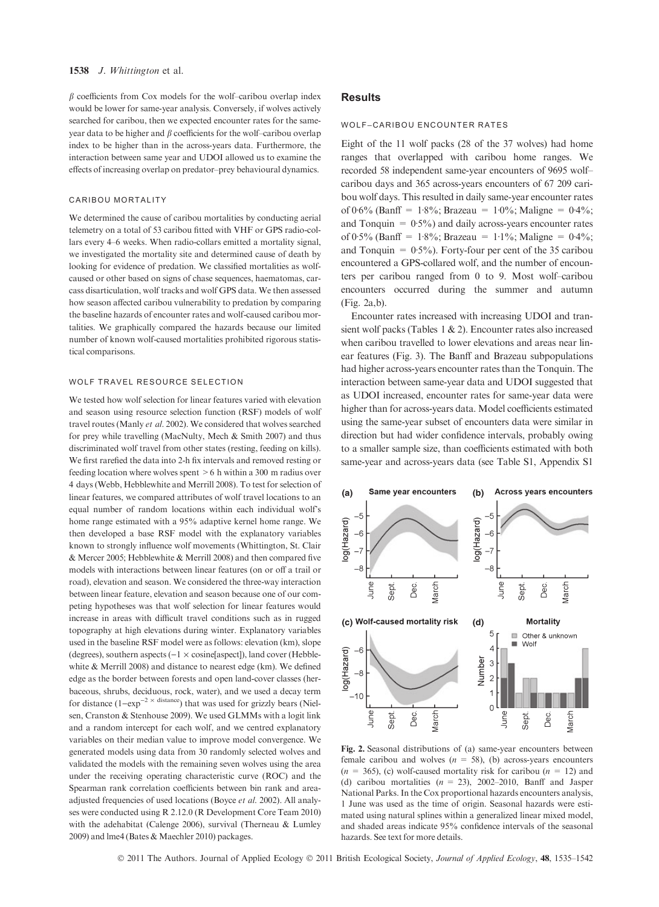#### 1538 J. Whittington et al.

 $\beta$  coefficients from Cox models for the wolf–caribou overlap index would be lower for same-year analysis. Conversely, if wolves actively searched for caribou, then we expected encounter rates for the sameyear data to be higher and  $\beta$  coefficients for the wolf–caribou overlap index to be higher than in the across-years data. Furthermore, the interaction between same year and UDOI allowed us to examine the effects of increasing overlap on predator–prey behavioural dynamics.

## CARIBOU MORTALITY

We determined the cause of caribou mortalities by conducting aerial telemetry on a total of 53 caribou fitted with VHF or GPS radio-collars every 4–6 weeks. When radio-collars emitted a mortality signal, we investigated the mortality site and determined cause of death by looking for evidence of predation. We classified mortalities as wolfcaused or other based on signs of chase sequences, haematomas, carcass disarticulation, wolf tracks and wolf GPS data. We then assessed how season affected caribou vulnerability to predation by comparing the baseline hazards of encounter rates and wolf-caused caribou mortalities. We graphically compared the hazards because our limited number of known wolf-caused mortalities prohibited rigorous statistical comparisons.

## WOLF TRAVEL RESOURCE SELECTION

We tested how wolf selection for linear features varied with elevation and season using resource selection function (RSF) models of wolf travel routes (Manly et al. 2002). We considered that wolves searched for prey while travelling (MacNulty, Mech & Smith 2007) and thus discriminated wolf travel from other states (resting, feeding on kills). We first rarefied the data into 2-h fix intervals and removed resting or feeding location where wolves spent >6 h within a 300 m radius over 4 days (Webb, Hebblewhite and Merrill 2008). To test for selection of linear features, we compared attributes of wolf travel locations to an equal number of random locations within each individual wolf's home range estimated with a 95% adaptive kernel home range. We then developed a base RSF model with the explanatory variables known to strongly influence wolf movements (Whittington, St. Clair & Mercer 2005; Hebblewhite & Merrill 2008) and then compared five models with interactions between linear features (on or off a trail or road), elevation and season. We considered the three-way interaction between linear feature, elevation and season because one of our competing hypotheses was that wolf selection for linear features would increase in areas with difficult travel conditions such as in rugged topography at high elevations during winter. Explanatory variables used in the baseline RSF model were as follows: elevation (km), slope (degrees), southern aspects  $(-1 \times \text{cosine[aspect]})$ , land cover (Hebblewhite & Merrill 2008) and distance to nearest edge (km). We defined edge as the border between forests and open land-cover classes (herbaceous, shrubs, deciduous, rock, water), and we used a decay term for distance  $(1-\exp^{-2} \times \text{distance})$  that was used for grizzly bears (Nielsen, Cranston & Stenhouse 2009). We used GLMMs with a logit link and a random intercept for each wolf, and we centred explanatory variables on their median value to improve model convergence. We generated models using data from 30 randomly selected wolves and validated the models with the remaining seven wolves using the area under the receiving operating characteristic curve (ROC) and the Spearman rank correlation coefficients between bin rank and areaadjusted frequencies of used locations (Boyce et al. 2002). All analyses were conducted using R 2.12.0 (R Development Core Team 2010) with the adehabitat (Calenge 2006), survival (Therneau & Lumley 2009) and lme4 (Bates & Maechler 2010) packages.

## **Results**

#### WOLF–CARIBOU ENCOUNTER RATES

Eight of the 11 wolf packs (28 of the 37 wolves) had home ranges that overlapped with caribou home ranges. We recorded 58 independent same-year encounters of 9695 wolf– caribou days and 365 across-years encounters of 67 209 caribou wolf days. This resulted in daily same-year encounter rates of 0.6% (Banff = 1.8%; Brazeau = 1.0%; Maligne = 0.4%; and Tonquin  $= 0.5\%$ ) and daily across-years encounter rates of 0.5% (Banff =  $1.8\%$ ; Brazeau =  $1.1\%$ ; Maligne = 0.4%; and Tonquin  $= 0.5\%$ ). Forty-four per cent of the 35 caribou encountered a GPS-collared wolf, and the number of encounters per caribou ranged from 0 to 9. Most wolf–caribou encounters occurred during the summer and autumn (Fig. 2a,b).

Encounter rates increased with increasing UDOI and transient wolf packs (Tables 1 & 2). Encounter rates also increased when caribou travelled to lower elevations and areas near linear features (Fig. 3). The Banff and Brazeau subpopulations had higher across-years encounter rates than the Tonquin. The interaction between same-year data and UDOI suggested that as UDOI increased, encounter rates for same-year data were higher than for across-years data. Model coefficients estimated using the same-year subset of encounters data were similar in direction but had wider confidence intervals, probably owing to a smaller sample size, than coefficients estimated with both same-year and across-years data (see Table S1, Appendix S1



Fig. 2. Seasonal distributions of (a) same-year encounters between female caribou and wolves ( $n = 58$ ), (b) across-years encounters  $(n = 365)$ , (c) wolf-caused mortality risk for caribou  $(n = 12)$  and (d) caribou mortalities  $(n = 23)$ , 2002–2010, Banff and Jasper National Parks. In the Cox proportional hazards encounters analysis, 1 June was used as the time of origin. Seasonal hazards were estimated using natural splines within a generalized linear mixed model, and shaded areas indicate 95% confidence intervals of the seasonal hazards. See text for more details.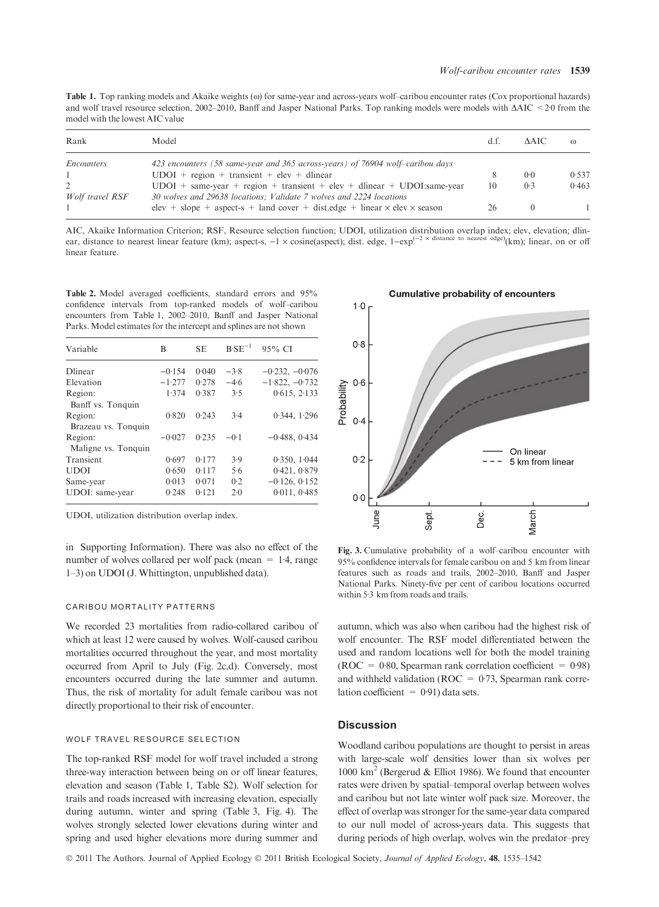Table 1. Top ranking models and Akaike weights ( $\omega$ ) for same-year and across-years wolf–caribou encounter rates (Cox proportional hazards) and wolf travel resource selection, 2002–2010, Banff and Jasper National Parks. Top ranking models were models with  $\Delta AIC < 20$  from the model with the lowest AIC value

| Rank                 | Model                                                                                                                                           |    | AAIC | $\omega$ |
|----------------------|-------------------------------------------------------------------------------------------------------------------------------------------------|----|------|----------|
| Encounters           | 423 encounters (58 same-year and 365 across-years) of 76904 wolf-caribou days                                                                   |    |      |          |
|                      | $UDOI + region + transient + elev + dlinear$                                                                                                    |    | 0.0  | 0.537    |
| 2<br>Wolf travel RSF | $UDOI + same-year + region + transient + elev + dlinear + UDOIsame-year$<br>30 wolves and 29638 locations; Validate 7 wolves and 2224 locations | 10 | 0.3  | 0.463    |
|                      | elev + slope + aspect-s + land cover + dist.edge + linear $\times$ elev $\times$ season                                                         | 26 |      |          |

AIC, Akaike Information Criterion; RSF, Resource selection function; UDOI, utilization distribution overlap index; elev, elevation; dlinear, distance to nearest linear feature (km); aspect-s,  $-1 \times \text{cosine}(\text{aspect})$ ; dist. edge,  $1-\exp^{(-2 \times \text{distance to nearest edge})}(\text{km})$ ; linear, on or off linear feature.

Table 2. Model averaged coefficients, standard errors and 95% confidence intervals from top-ranked models of wolf–caribou encounters from Table 1, 2002–2010, Banff and Jasper National Parks. Model estimates for the intercept and splines are not shown

| Variable            | B        | <b>SE</b> | $B\cdot SE^{-1}$ | 95% CI           |
|---------------------|----------|-----------|------------------|------------------|
| Dlinear             | $-0.154$ | 0.040     | $-3.8$           | $-0.232, -0.076$ |
| Elevation           | $-1.277$ | 0.278     | $-4.6$           | $-1.822, -0.732$ |
| Region:             | 1.374    | 0.387     | 3.5              | 0.615, 2.133     |
| Banff vs. Tonquin   |          |           |                  |                  |
| Region:             | 0.820    | 0.243     | 3.4              | 0.344, 1.296     |
| Brazeau vs. Tonquin |          |           |                  |                  |
| Region:             | $-0.027$ | 0.235     | $-0.1$           | $-0.488, 0.434$  |
| Maligne vs. Tonquin |          |           |                  |                  |
| Transient           | 0.697    | 0.177     | 3.9              | 0.350, 1.044     |
| <b>UDOI</b>         | 0.650    | 0.117     | 5.6              | 0.421, 0.879     |
| Same-year           | 0.013    | 0.071     | 0.2              | $-0.126, 0.152$  |
| UDOI: same-year     | 0.248    | 0.121     | 2.0              | 0.011, 0.485     |
|                     |          |           |                  |                  |

UDOI, utilization distribution overlap index.

in Supporting Information). There was also no effect of the number of wolves collared per wolf pack (mean  $= 1.4$ , range 1–3) on UDOI (J. Whittington, unpublished data).

#### CARIBOU MORTALITY PATTERNS

We recorded 23 mortalities from radio-collared caribou of which at least 12 were caused by wolves. Wolf-caused caribou mortalities occurred throughout the year, and most mortality occurred from April to July (Fig. 2c,d). Conversely, most encounters occurred during the late summer and autumn. Thus, the risk of mortality for adult female caribou was not directly proportional to their risk of encounter.

## WOLF TRAVEL RESOURCE SELECTION

The top-ranked RSF model for wolf travel included a strong three-way interaction between being on or off linear features, elevation and season (Table 1, Table S2). Wolf selection for trails and roads increased with increasing elevation, especially during autumn, winter and spring (Table 3, Fig. 4). The wolves strongly selected lower elevations during winter and spring and used higher elevations more during summer and

#### **Cumulative probability of encounters**



Fig. 3. Cumulative probability of a wolf–caribou encounter with 95% confidence intervals for female caribou on and 5 km from linear features such as roads and trails, 2002–2010, Banff and Jasper National Parks. Ninety-five per cent of caribou locations occurred within  $5.3 \text{ km}$  from roads and trails.

autumn, which was also when caribou had the highest risk of wolf encounter. The RSF model differentiated between the used and random locations well for both the model training (ROC = 0.80, Spearman rank correlation coefficient = 0.98) and withheld validation ( $ROC = 0.73$ , Spearman rank correlation coefficient =  $0.91$ ) data sets.

## **Discussion**

Woodland caribou populations are thought to persist in areas with large-scale wolf densities lower than six wolves per 1000 km2 (Bergerud & Elliot 1986). We found that encounter rates were driven by spatial–temporal overlap between wolves and caribou but not late winter wolf pack size. Moreover, the effect of overlap was stronger for the same-year data compared to our null model of across-years data. This suggests that during periods of high overlap, wolves win the predator–prey

© 2011 The Authors. Journal of Applied Ecology © 2011 British Ecological Society, Journal of Applied Ecology, 48, 1535–1542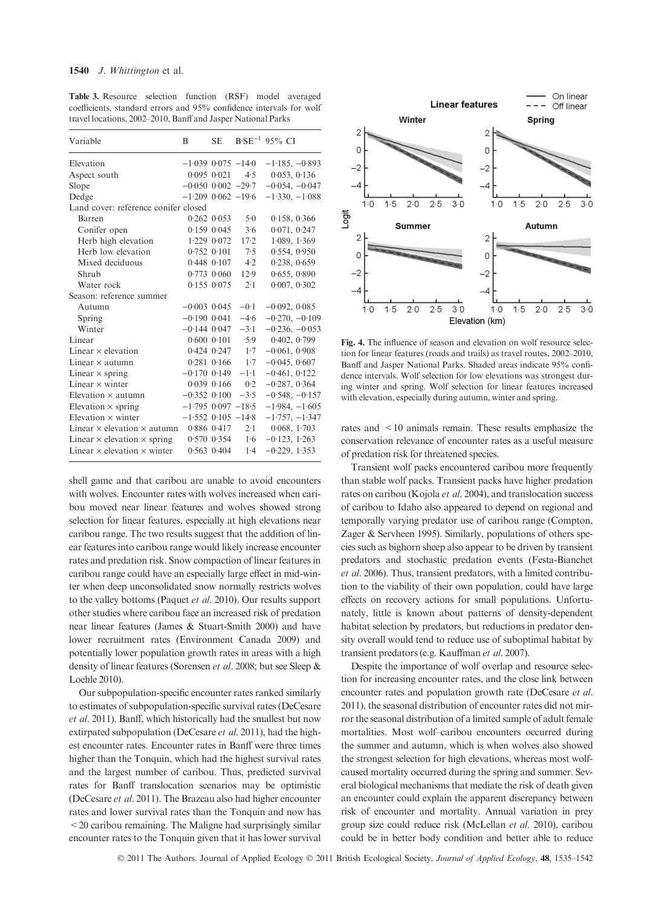Table 3. Resource selection function (RSF) model averaged coefficients, standard errors and 95% confidence intervals for wolf travel locations, 2002–2010, Banff and Jasper National Parks

| Variable                                  | B                        | <b>SE</b>       |                       | $B\text{-}SE^{-1}$ 95% CI |
|-------------------------------------------|--------------------------|-----------------|-----------------------|---------------------------|
| Elevation                                 | $-1.039$ 0.075 $-14.0$   |                 |                       | $-1.185, -0.893$          |
| Aspect south                              |                          | $0.095$ $0.021$ | 4.5                   | 0.053, 0.136              |
| Slope                                     | $-0.050$ $0.002$ $-29.7$ |                 |                       | $-0.054, -0.047$          |
| Dedge                                     | $-1.209$ 0.062 $-19.6$   |                 |                       | $-1.330, -1.088$          |
| Land cover: reference conifer closed      |                          |                 |                       |                           |
| Barren                                    |                          | $0.262$ $0.053$ | $5-0$                 | 0.158, 0.366              |
| Conifer open                              |                          | $0.159$ $0.045$ | 3.6                   | 0.071, 0.247              |
| Herb high elevation                       |                          | $1.229$ 0.072   | $17-2$                | 1.089, 1.369              |
| Herb low elevation                        |                          | $0.752$ $0.101$ | 7.5                   | 0.554, 0.950              |
| Mixed deciduous                           |                          | $0.448$ $0.107$ | 4.2                   | 0.238, 0.659              |
| Shrub                                     |                          | $0.773$ $0.060$ | 12.9                  | 0.655, 0.890              |
| Water rock                                |                          | $0.155$ $0.075$ | 2.1                   | 0.007, 0.302              |
| Season: reference summer                  |                          |                 |                       |                           |
| Autumn                                    | $-0.003$ 0.045           |                 | $-0.1$                | $-0.092, 0.085$           |
| Spring                                    | $-0.190$ 0.041           |                 | $-4.6$                | $-0.270, -0.109$          |
| Winter                                    | $-0.144$ $0.047$ $-3.1$  |                 |                       | $-0.236, -0.053$          |
| Linear                                    |                          |                 | $0.600$ $0.101$ 5.9   | 0.402, 0.799              |
| Linear $\times$ elevation                 |                          |                 | $0.424$ $0.247$ $1.7$ | $-0.061, 0.908$           |
| Linear $\times$ autumn                    |                          | $0.281$ $0.166$ | 1.7                   | $-0.045, 0.607$           |
| Linear $\times$ spring                    | $-0.170$ 0.149           |                 | $-1.1$                | $-0.461, 0.122$           |
| Linear $\times$ winter                    |                          | $0.039$ $0.166$ | 0.2                   | $-0.287, 0.364$           |
| Elevation $\times$ autumn                 | $-0.352$ $0.100$         |                 | $-3.5$                | $-0.548, -0.157$          |
| Elevation $\times$ spring                 | $-1.795$ 0.097 $-18.5$   |                 |                       | $-1.984, -1.605$          |
| Elevation $\times$ winter                 | $-1.552$ 0.105 $-14.8$   |                 |                       | $-1.757, -1.347$          |
| Linear $\times$ elevation $\times$ autumn |                          | $0.886$ $0.417$ | $2 \cdot 1$           | 0.068, 1.703              |
| Linear $\times$ elevation $\times$ spring |                          | $0.570$ $0.354$ | 1.6                   | $-0.123$ , 1.263          |
| Linear $\times$ elevation $\times$ winter |                          | $0.563$ $0.404$ | $1-4$                 | $-0.229, 1.353$           |

shell game and that caribou are unable to avoid encounters with wolves. Encounter rates with wolves increased when caribou moved near linear features and wolves showed strong selection for linear features, especially at high elevations near caribou range. The two results suggest that the addition of linear features into caribou range would likely increase encounter rates and predation risk. Snow compaction of linear features in caribou range could have an especially large effect in mid-winter when deep unconsolidated snow normally restricts wolves to the valley bottoms (Paquet et al. 2010). Our results support other studies where caribou face an increased risk of predation near linear features (James & Stuart-Smith 2000) and have lower recruitment rates (Environment Canada 2009) and potentially lower population growth rates in areas with a high density of linear features (Sorensen et al. 2008; but see Sleep & Loehle 2010).

Our subpopulation-specific encounter rates ranked similarly to estimates of subpopulation-specific survival rates (DeCesare et al. 2011). Banff, which historically had the smallest but now extirpated subpopulation (DeCesare *et al.* 2011), had the highest encounter rates. Encounter rates in Banff were three times higher than the Tonquin, which had the highest survival rates and the largest number of caribou. Thus, predicted survival rates for Banff translocation scenarios may be optimistic (DeCesare et al. 2011). The Brazeau also had higher encounter rates and lower survival rates than the Tonquin and now has  $<$  20 caribou remaining. The Maligne had surprisingly similar encounter rates to the Tonquin given that it has lower survival



Fig. 4. The influence of season and elevation on wolf resource selection for linear features (roads and trails) as travel routes, 2002–2010, Banff and Jasper National Parks. Shaded areas indicate 95% confidence intervals. Wolf selection for low elevations was strongest during winter and spring. Wolf selection for linear features increased with elevation, especially during autumn, winter and spring.

rates and <10 animals remain. These results emphasize the conservation relevance of encounter rates as a useful measure of predation risk for threatened species.

Transient wolf packs encountered caribou more frequently than stable wolf packs. Transient packs have higher predation rates on caribou (Kojola et al. 2004), and translocation success of caribou to Idaho also appeared to depend on regional and temporally varying predator use of caribou range (Compton, Zager & Servheen 1995). Similarly, populations of others species such as bighorn sheep also appear to be driven by transient predators and stochastic predation events (Festa-Bianchet et al. 2006). Thus, transient predators, with a limited contribution to the viability of their own population, could have large effects on recovery actions for small populations. Unfortunately, little is known about patterns of density-dependent habitat selection by predators, but reductions in predator density overall would tend to reduce use of suboptimal habitat by transient predators (e.g. Kauffman et al. 2007).

Despite the importance of wolf overlap and resource selection for increasing encounter rates, and the close link between encounter rates and population growth rate (DeCesare et al. 2011), the seasonal distribution of encounter rates did not mirror the seasonal distribution of a limited sample of adult female mortalities. Most wolf–caribou encounters occurred during the summer and autumn, which is when wolves also showed the strongest selection for high elevations, whereas most wolfcaused mortality occurred during the spring and summer. Several biological mechanisms that mediate the risk of death given an encounter could explain the apparent discrepancy between risk of encounter and mortality. Annual variation in prey group size could reduce risk (McLellan et al. 2010), caribou could be in better body condition and better able to reduce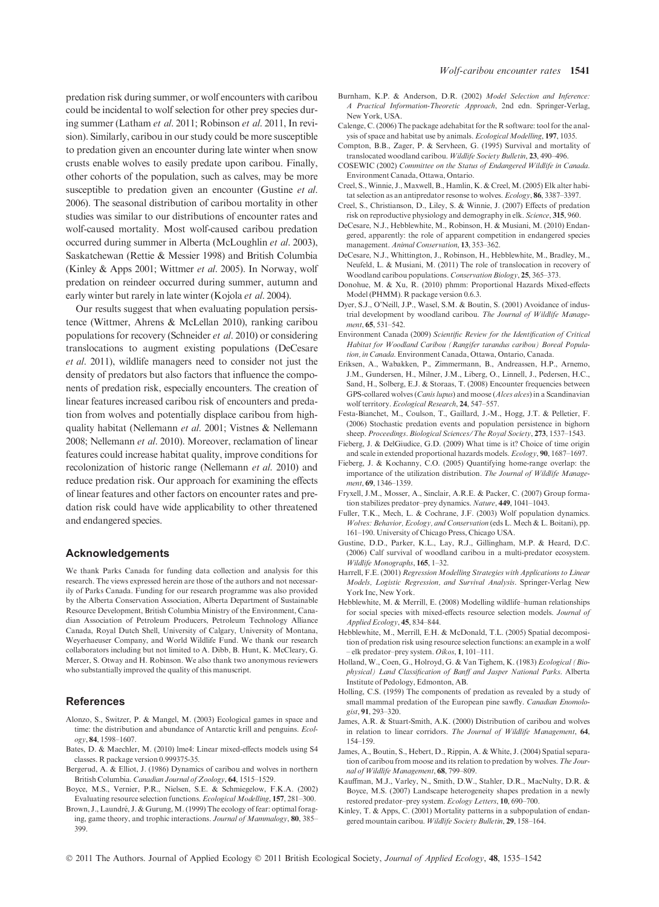predation risk during summer, or wolf encounters with caribou could be incidental to wolf selection for other prey species during summer (Latham et al. 2011; Robinson et al. 2011, In revision). Similarly, caribou in our study could be more susceptible to predation given an encounter during late winter when snow crusts enable wolves to easily predate upon caribou. Finally, other cohorts of the population, such as calves, may be more susceptible to predation given an encounter (Gustine *et al.*) 2006). The seasonal distribution of caribou mortality in other studies was similar to our distributions of encounter rates and wolf-caused mortality. Most wolf-caused caribou predation occurred during summer in Alberta (McLoughlin et al. 2003), Saskatchewan (Rettie & Messier 1998) and British Columbia (Kinley & Apps 2001; Wittmer et al. 2005). In Norway, wolf predation on reindeer occurred during summer, autumn and early winter but rarely in late winter (Kojola et al. 2004).

Our results suggest that when evaluating population persistence (Wittmer, Ahrens & McLellan 2010), ranking caribou populations for recovery (Schneider et al. 2010) or considering translocations to augment existing populations (DeCesare et al. 2011), wildlife managers need to consider not just the density of predators but also factors that influence the components of predation risk, especially encounters. The creation of linear features increased caribou risk of encounters and predation from wolves and potentially displace caribou from highquality habitat (Nellemann et al. 2001; Vistnes & Nellemann 2008; Nellemann et al. 2010). Moreover, reclamation of linear features could increase habitat quality, improve conditions for recolonization of historic range (Nellemann et al. 2010) and reduce predation risk. Our approach for examining the effects of linear features and other factors on encounter rates and predation risk could have wide applicability to other threatened and endangered species.

#### Acknowledgements

We thank Parks Canada for funding data collection and analysis for this research. The views expressed herein are those of the authors and not necessarily of Parks Canada. Funding for our research programme was also provided by the Alberta Conservation Association, Alberta Department of Sustainable Resource Development, British Columbia Ministry of the Environment, Canadian Association of Petroleum Producers, Petroleum Technology Alliance Canada, Royal Dutch Shell, University of Calgary, University of Montana, Weyerhaeuser Company, and World Wildlife Fund. We thank our research collaborators including but not limited to A. Dibb, B. Hunt, K. McCleary, G. Mercer, S. Otway and H. Robinson. We also thank two anonymous reviewers who substantially improved the quality of this manuscript.

## References

- Alonzo, S., Switzer, P. & Mangel, M. (2003) Ecological games in space and time: the distribution and abundance of Antarctic krill and penguins. Ecology, 84, 1598–1607.
- Bates, D. & Maechler, M. (2010) lme4: Linear mixed-effects models using S4 classes. R package version 0.999375-35.
- Bergerud, A. & Elliot, J. (1986) Dynamics of caribou and wolves in northern British Columbia. Canadian Journal of Zoology, 64, 1515–1529.
- Boyce, M.S., Vernier, P.R., Nielsen, S.E. & Schmiegelow, F.K.A. (2002) Evaluating resource selection functions. Ecological Modelling, 157, 281–300.
- Brown, J., Laundré, J. & Gurung, M. (1999) The ecology of fear: optimal foraging, game theory, and trophic interactions. Journal of Mammalogy, 80, 385-399.
- Burnham, K.P. & Anderson, D.R. (2002) Model Selection and Inference: A Practical Information-Theoretic Approach, 2nd edn. Springer-Verlag, New York, USA.
- Calenge, C. (2006) The package adehabitat for the R software: tool for the analysis of space and habitat use by animals. Ecological Modelling, 197, 1035.
- Compton, B.B., Zager, P. & Servheen, G. (1995) Survival and mortality of translocated woodland caribou. Wildlife Society Bulletin, 23, 490–496.
- COSEWIC (2002) Committee on the Status of Endangered Wildlife in Canada. Environment Canada, Ottawa, Ontario.
- Creel, S., Winnie, J., Maxwell, B., Hamlin, K. & Creel, M. (2005) Elk alter habitat selection as an antipredator resonse to wolves. Ecology, 86, 3387-3397.
- Creel, S., Christianson, D., Liley, S. & Winnie, J. (2007) Effects of predation risk on reproductive physiology and demography in elk. Science, 315, 960.
- DeCesare, N.J., Hebblewhite, M., Robinson, H. & Musiani, M. (2010) Endangered, apparently: the role of apparent competition in endangered species management. Animal Conservation, 13, 353–362.
- DeCesare, N.J., Whittington, J., Robinson, H., Hebblewhite, M., Bradley, M., Neufeld, L. & Musiani, M. (2011) The role of translocation in recovery of Woodland caribou populations. Conservation Biology, 25, 365–373.
- Donohue, M. & Xu, R. (2010) phmm: Proportional Hazards Mixed-effects Model (PHMM). R package version 0.6.3.
- Dyer, S.J., O'Neill, J.P., Wasel, S.M. & Boutin, S. (2001) Avoidance of industrial development by woodland caribou. The Journal of Wildlife Management, 65, 531–542.
- Environment Canada (2009) Scientific Review for the Identification of Critical Habitat for Woodland Caribou (Rangifer tarandus caribou) Boreal Population, in Canada. Environment Canada, Ottawa, Ontario, Canada.
- Eriksen, A., Wabakken, P., Zimmermann, B., Andreassen, H.P., Arnemo, J.M., Gundersen, H., Milner, J.M., Liberg, O., Linnell, J., Pedersen, H.C., Sand, H., Solberg, E.J. & Storaas, T. (2008) Encounter frequencies between GPS-collared wolves (Canis lupus) and moose (Alces alces) in a Scandinavian wolf territory. Ecological Research, 24, 547–557.
- Festa-Bianchet, M., Coulson, T., Gaillard, J.-M., Hogg, J.T. & Pelletier, F. (2006) Stochastic predation events and population persistence in bighorn sheep. Proceedings. Biological Sciences/The Royal Society, 273, 1537-1543.
- Fieberg, J. & DelGiudice, G.D. (2009) What time is it? Choice of time origin and scale in extended proportional hazards models. Ecology, 90, 1687–1697.
- Fieberg, J. & Kochanny, C.O. (2005) Quantifying home-range overlap: the importance of the utilization distribution. The Journal of Wildlife Management, 69, 1346–1359.
- Fryxell, J.M., Mosser, A., Sinclair, A.R.E. & Packer, C. (2007) Group formation stabilizes predator–prey dynamics. Nature, 449, 1041–1043.
- Fuller, T.K., Mech, L. & Cochrane, J.F. (2003) Wolf population dynamics. Wolves: Behavior, Ecology, and Conservation (eds L. Mech & L. Boitani), pp. 161–190. University of Chicago Press, Chicago USA.
- Gustine, D.D., Parker, K.L., Lay, R.J., Gillingham, M.P. & Heard, D.C. (2006) Calf survival of woodland caribou in a multi-predator ecosystem. Wildlife Monographs, 165, 1–32.
- Harrell, F.E. (2001) Regression Modelling Strategies with Applications to Linear Models, Logistic Regression, and Survival Analysis. Springer-Verlag New York Inc, New York.
- Hebblewhite, M. & Merrill, E. (2008) Modelling wildlife–human relationships for social species with mixed-effects resource selection models. Journal of Applied Ecology, 45, 834–844.
- Hebblewhite, M., Merrill, E.H. & McDonald, T.L. (2005) Spatial decomposition of predation risk using resource selection functions: an example in a wolf – elk predator–prey system. Oikos, 1, 101–111.
- Holland, W., Coen, G., Holroyd, G. & Van Tighem, K. (1983) Ecological (Biophysical) Land Classification of Banff and Jasper National Parks. Alberta Institute of Pedology, Edmonton, AB.
- Holling, C.S. (1959) The components of predation as revealed by a study of small mammal predation of the European pine sawfly. Canadian Enomologist, 91, 293–320.
- James, A.R. & Stuart-Smith, A.K. (2000) Distribution of caribou and wolves in relation to linear corridors. The Journal of Wildlife Management, 64, 154–159.
- James, A., Boutin, S., Hebert, D., Rippin, A. & White, J. (2004) Spatial separation of caribou from moose and its relation to predation by wolves. The Journal of Wildlife Management, 68, 799–809.
- Kauffman, M.J., Varley, N., Smith, D.W., Stahler, D.R., MacNulty, D.R. & Boyce, M.S. (2007) Landscape heterogeneity shapes predation in a newly restored predator–prey system. Ecology Letters, 10, 690–700.
- Kinley, T. & Apps, C. (2001) Mortality patterns in a subpopulation of endangered mountain caribou. Wildlife Society Bulletin, 29, 158–164.